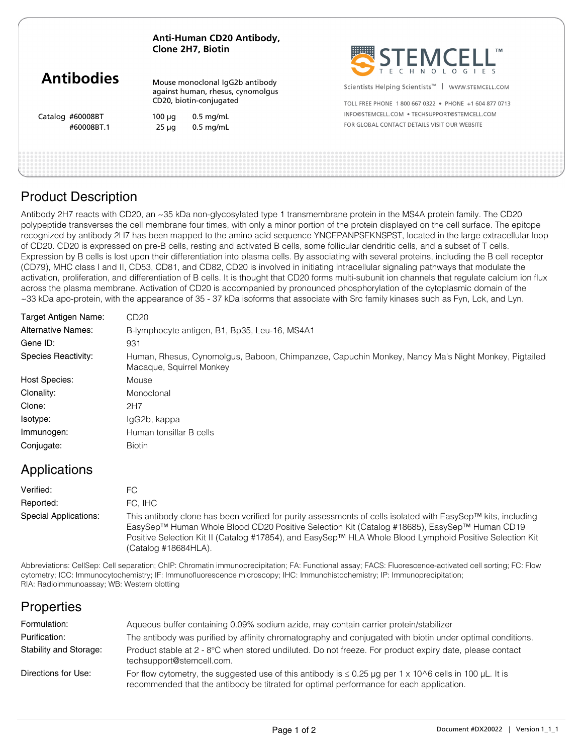#### **Anti-Human CD20 Antibody, Clone 2H7, Biotin**

# **Antibodies**

Catalog #60008BT

Mouse monoclonal IgG2b antibody against human, rhesus, cynomolgus CD20, biotin-conjugated

 $100 \mu q$  0.5 mg/mL #60008BT.1 25 μg 0.5 mg/mL



Scientists Helping Scientists<sup>™</sup> | WWW.STEMCELL.COM

TOLL FREE PHONE 1 800 667 0322 · PHONE +1 604 877 0713 INFO@STEMCELL.COM . TECHSUPPORT@STEMCELL.COM FOR GLORAL CONTACT DETAILS VISIT OUR WERSITE

## Product Description

Antibody 2H7 reacts with CD20, an ~35 kDa non-glycosylated type 1 transmembrane protein in the MS4A protein family. The CD20 polypeptide transverses the cell membrane four times, with only a minor portion of the protein displayed on the cell surface. The epitope recognized by antibody 2H7 has been mapped to the amino acid sequence YNCEPANPSEKNSPST, located in the large extracellular loop of CD20. CD20 is expressed on pre-B cells, resting and activated B cells, some follicular dendritic cells, and a subset of T cells. Expression by B cells is lost upon their differentiation into plasma cells. By associating with several proteins, including the B cell receptor (CD79), MHC class I and II, CD53, CD81, and CD82, CD20 is involved in initiating intracellular signaling pathways that modulate the activation, proliferation, and differentiation of B cells. It is thought that CD20 forms multi-subunit ion channels that regulate calcium ion flux across the plasma membrane. Activation of CD20 is accompanied by pronounced phosphorylation of the cytoplasmic domain of the ~33 kDa apo-protein, with the appearance of 35 - 37 kDa isoforms that associate with Src family kinases such as Fyn, Lck, and Lyn.

| Target Antigen Name:      | CD <sub>20</sub>                                                                                                               |
|---------------------------|--------------------------------------------------------------------------------------------------------------------------------|
| <b>Alternative Names:</b> | B-lymphocyte antigen, B1, Bp35, Leu-16, MS4A1                                                                                  |
| Gene ID:                  | 931                                                                                                                            |
| Species Reactivity:       | Human, Rhesus, Cynomolgus, Baboon, Chimpanzee, Capuchin Monkey, Nancy Ma's Night Monkey, Pigtailed<br>Macaque, Squirrel Monkey |
| <b>Host Species:</b>      | Mouse                                                                                                                          |
| Clonality:                | Monoclonal                                                                                                                     |
| Clone:                    | 2H7                                                                                                                            |
| Isotype:                  | IgG2b, kappa                                                                                                                   |
| Immunogen:                | Human tonsillar B cells                                                                                                        |
| Conjugate:                | <b>Biotin</b>                                                                                                                  |

## Applications

| Verified:             | FC.                                                                                                                                                                                                                                                                                                                                              |
|-----------------------|--------------------------------------------------------------------------------------------------------------------------------------------------------------------------------------------------------------------------------------------------------------------------------------------------------------------------------------------------|
| Reported:             | FC. IHC                                                                                                                                                                                                                                                                                                                                          |
| Special Applications: | This antibody clone has been verified for purity assessments of cells isolated with EasySep™ kits, including<br>EasySep™ Human Whole Blood CD20 Positive Selection Kit (Catalog #18685), EasySep™ Human CD19<br>Positive Selection Kit II (Catalog #17854), and EasySep™ HLA Whole Blood Lymphoid Positive Selection Kit<br>(Catalog #18684HLA). |

Abbreviations: CellSep: Cell separation; ChIP: Chromatin immunoprecipitation; FA: Functional assay; FACS: Fluorescence-activated cell sorting; FC: Flow cytometry; ICC: Immunocytochemistry; IF: Immunofluorescence microscopy; IHC: Immunohistochemistry; IP: Immunoprecipitation; RIA: Radioimmunoassay; WB: Western blotting

## **Properties**

| Formulation:           | Aqueous buffer containing 0.09% sodium azide, may contain carrier protein/stabilizer                                                                                                                    |
|------------------------|---------------------------------------------------------------------------------------------------------------------------------------------------------------------------------------------------------|
| Purification:          | The antibody was purified by affinity chromatography and conjugated with biotin under optimal conditions.                                                                                               |
| Stability and Storage: | Product stable at 2 - 8°C when stored undiluted. Do not freeze. For product expiry date, please contact<br>techsupport@stemcell.com.                                                                    |
| Directions for Use:    | For flow cytometry, the suggested use of this antibody is $\leq 0.25$ µg per 1 x 10^6 cells in 100 µL. It is<br>recommended that the antibody be titrated for optimal performance for each application. |